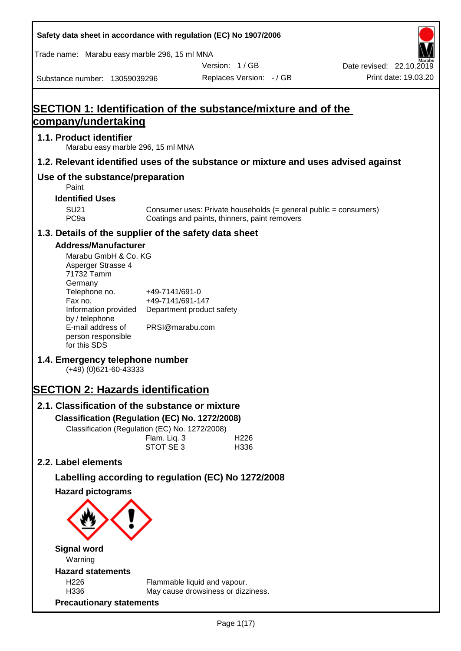| Safety data sheet in accordance with regulation (EC) No 1907/2006                                                                                                                                                                                                                                                                                                                                                                                                                                    |                                                                                                                 |                                               |                                                                  |                          |
|------------------------------------------------------------------------------------------------------------------------------------------------------------------------------------------------------------------------------------------------------------------------------------------------------------------------------------------------------------------------------------------------------------------------------------------------------------------------------------------------------|-----------------------------------------------------------------------------------------------------------------|-----------------------------------------------|------------------------------------------------------------------|--------------------------|
| Trade name: Marabu easy marble 296, 15 ml MNA                                                                                                                                                                                                                                                                                                                                                                                                                                                        |                                                                                                                 |                                               |                                                                  |                          |
|                                                                                                                                                                                                                                                                                                                                                                                                                                                                                                      |                                                                                                                 | Version: 1/GB                                 |                                                                  | Date revised: 22.10.2019 |
| Substance number: 13059039296                                                                                                                                                                                                                                                                                                                                                                                                                                                                        |                                                                                                                 | Replaces Version: - / GB                      |                                                                  | Print date: 19.03.20     |
| <b>SECTION 1: Identification of the substance/mixture and of the</b><br>company/undertaking                                                                                                                                                                                                                                                                                                                                                                                                          |                                                                                                                 |                                               |                                                                  |                          |
| 1.1. Product identifier<br>Marabu easy marble 296, 15 ml MNA                                                                                                                                                                                                                                                                                                                                                                                                                                         |                                                                                                                 |                                               |                                                                  |                          |
| 1.2. Relevant identified uses of the substance or mixture and uses advised against                                                                                                                                                                                                                                                                                                                                                                                                                   |                                                                                                                 |                                               |                                                                  |                          |
| Use of the substance/preparation<br>Paint                                                                                                                                                                                                                                                                                                                                                                                                                                                            |                                                                                                                 |                                               |                                                                  |                          |
| <b>Identified Uses</b>                                                                                                                                                                                                                                                                                                                                                                                                                                                                               |                                                                                                                 |                                               |                                                                  |                          |
| <b>SU21</b><br>PC <sub>9a</sub>                                                                                                                                                                                                                                                                                                                                                                                                                                                                      |                                                                                                                 | Coatings and paints, thinners, paint removers | Consumer uses: Private households (= general public = consumers) |                          |
| 1.3. Details of the supplier of the safety data sheet                                                                                                                                                                                                                                                                                                                                                                                                                                                |                                                                                                                 |                                               |                                                                  |                          |
| <b>Address/Manufacturer</b><br>Marabu GmbH & Co. KG<br>Asperger Strasse 4<br>71732 Tamm<br>Germany<br>Telephone no.<br>Fax no.<br>Information provided<br>by / telephone<br>E-mail address of<br>person responsible<br>for this SDS<br>1.4. Emergency telephone number<br>$(+49)$ (0)621-60-43333<br><b>SECTION 2: Hazards identification</b><br>2.1. Classification of the substance or mixture<br>Classification (Regulation (EC) No. 1272/2008)<br>Classification (Regulation (EC) No. 1272/2008) | +49-7141/691-0<br>+49-7141/691-147<br>Department product safety<br>PRSI@marabu.com<br>Flam. Liq. 3<br>STOT SE 3 | H <sub>226</sub><br>H336                      |                                                                  |                          |
| 2.2. Label elements                                                                                                                                                                                                                                                                                                                                                                                                                                                                                  |                                                                                                                 |                                               |                                                                  |                          |
| Labelling according to regulation (EC) No 1272/2008                                                                                                                                                                                                                                                                                                                                                                                                                                                  |                                                                                                                 |                                               |                                                                  |                          |
| <b>Hazard pictograms</b><br><b>Signal word</b>                                                                                                                                                                                                                                                                                                                                                                                                                                                       |                                                                                                                 |                                               |                                                                  |                          |
| Warning                                                                                                                                                                                                                                                                                                                                                                                                                                                                                              |                                                                                                                 |                                               |                                                                  |                          |
| <b>Hazard statements</b>                                                                                                                                                                                                                                                                                                                                                                                                                                                                             |                                                                                                                 |                                               |                                                                  |                          |
| H226<br>H336                                                                                                                                                                                                                                                                                                                                                                                                                                                                                         | Flammable liquid and vapour.                                                                                    | May cause drowsiness or dizziness.            |                                                                  |                          |
| <b>Precautionary statements</b>                                                                                                                                                                                                                                                                                                                                                                                                                                                                      |                                                                                                                 |                                               |                                                                  |                          |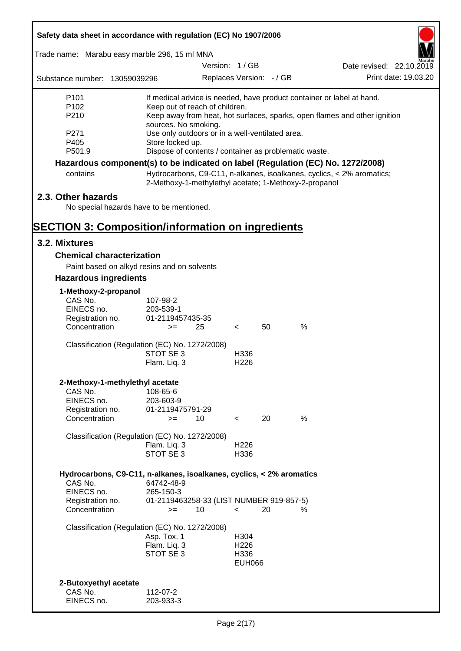| Safety data sheet in accordance with regulation (EC) No 1907/2006               |                                                       |               |                          |    |      |                                                                           |  |
|---------------------------------------------------------------------------------|-------------------------------------------------------|---------------|--------------------------|----|------|---------------------------------------------------------------------------|--|
| Trade name: Marabu easy marble 296, 15 ml MNA                                   |                                                       |               |                          |    |      |                                                                           |  |
|                                                                                 |                                                       | Version: 1/GB |                          |    |      | Date revised: 22.10.2019                                                  |  |
| Substance number: 13059039296                                                   |                                                       |               | Replaces Version: - / GB |    |      | Print date: 19.03.20                                                      |  |
| P <sub>101</sub>                                                                |                                                       |               |                          |    |      | If medical advice is needed, have product container or label at hand.     |  |
| P <sub>102</sub>                                                                | Keep out of reach of children.                        |               |                          |    |      |                                                                           |  |
| P210                                                                            | sources. No smoking.                                  |               |                          |    |      | Keep away from heat, hot surfaces, sparks, open flames and other ignition |  |
| P271                                                                            | Use only outdoors or in a well-ventilated area.       |               |                          |    |      |                                                                           |  |
| P405                                                                            | Store locked up.                                      |               |                          |    |      |                                                                           |  |
| P501.9                                                                          | Dispose of contents / container as problematic waste. |               |                          |    |      |                                                                           |  |
| Hazardous component(s) to be indicated on label (Regulation (EC) No. 1272/2008) |                                                       |               |                          |    |      |                                                                           |  |
| contains                                                                        | 2-Methoxy-1-methylethyl acetate; 1-Methoxy-2-propanol |               |                          |    |      | Hydrocarbons, C9-C11, n-alkanes, isoalkanes, cyclics, < 2% aromatics;     |  |
| 2.3. Other hazards                                                              |                                                       |               |                          |    |      |                                                                           |  |
| No special hazards have to be mentioned.                                        |                                                       |               |                          |    |      |                                                                           |  |
| <b>SECTION 3: Composition/information on ingredients</b>                        |                                                       |               |                          |    |      |                                                                           |  |
| 3.2. Mixtures                                                                   |                                                       |               |                          |    |      |                                                                           |  |
| <b>Chemical characterization</b>                                                |                                                       |               |                          |    |      |                                                                           |  |
| Paint based on alkyd resins and on solvents                                     |                                                       |               |                          |    |      |                                                                           |  |
| <b>Hazardous ingredients</b>                                                    |                                                       |               |                          |    |      |                                                                           |  |
| 1-Methoxy-2-propanol                                                            |                                                       |               |                          |    |      |                                                                           |  |
| CAS No.                                                                         | 107-98-2                                              |               |                          |    |      |                                                                           |  |
| EINECS no.                                                                      | 203-539-1                                             |               |                          |    |      |                                                                           |  |
| Registration no.<br>Concentration                                               | 01-2119457435-35<br>$>=$                              | 25            | $\lt$                    | 50 | $\%$ |                                                                           |  |
|                                                                                 |                                                       |               |                          |    |      |                                                                           |  |
| Classification (Regulation (EC) No. 1272/2008)                                  |                                                       |               |                          |    |      |                                                                           |  |
|                                                                                 | STOT SE 3                                             |               | H336                     |    |      |                                                                           |  |
|                                                                                 | Flam. Liq. 3                                          |               | H <sub>226</sub>         |    |      |                                                                           |  |
| 2-Methoxy-1-methylethyl acetate                                                 |                                                       |               |                          |    |      |                                                                           |  |
| CAS No.                                                                         | 108-65-6                                              |               |                          |    |      |                                                                           |  |
| EINECS no.                                                                      | 203-603-9                                             |               |                          |    |      |                                                                           |  |
| Registration no.                                                                | 01-2119475791-29                                      |               |                          |    |      |                                                                           |  |
| Concentration                                                                   | $>=$                                                  | 10            | $\prec$                  | 20 | %    |                                                                           |  |
| Classification (Regulation (EC) No. 1272/2008)                                  |                                                       |               |                          |    |      |                                                                           |  |
|                                                                                 | Flam. Liq. 3                                          |               | H <sub>226</sub>         |    |      |                                                                           |  |
|                                                                                 | STOT SE 3                                             |               | H336                     |    |      |                                                                           |  |
| Hydrocarbons, C9-C11, n-alkanes, isoalkanes, cyclics, < 2% aromatics            |                                                       |               |                          |    |      |                                                                           |  |
| CAS No.                                                                         | 64742-48-9                                            |               |                          |    |      |                                                                           |  |
| EINECS no.                                                                      | 265-150-3                                             |               |                          |    |      |                                                                           |  |
| Registration no.<br>Concentration                                               | 01-2119463258-33 (LIST NUMBER 919-857-5)<br>$>=$      | 10            | $\prec$                  | 20 | %    |                                                                           |  |
|                                                                                 |                                                       |               |                          |    |      |                                                                           |  |
| Classification (Regulation (EC) No. 1272/2008)                                  |                                                       |               |                          |    |      |                                                                           |  |
|                                                                                 | Asp. Tox. 1<br>Flam. Liq. 3                           |               | H304<br>H <sub>226</sub> |    |      |                                                                           |  |
|                                                                                 | STOT SE 3                                             |               | H336                     |    |      |                                                                           |  |
|                                                                                 |                                                       |               | <b>EUH066</b>            |    |      |                                                                           |  |
|                                                                                 |                                                       |               |                          |    |      |                                                                           |  |
| 2-Butoxyethyl acetate                                                           |                                                       |               |                          |    |      |                                                                           |  |
| CAS No.                                                                         | 112-07-2                                              |               |                          |    |      |                                                                           |  |
| EINECS no.                                                                      | 203-933-3                                             |               |                          |    |      |                                                                           |  |

Г

 $\overline{\mathbf{1}}$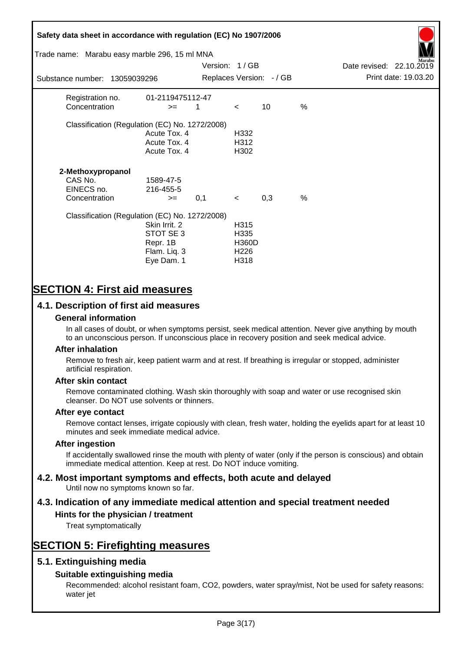# **Safety data sheet in accordance with regulation (EC) No 1907/2006** Substance number: 13059039296 Version: 1 / GB Replaces Version:  $-$  / GB Print date: 19.03.20 Date revised: 22.10.2019 Trade name: Marabu easy marble 296, 15 ml MNA Registration no. 01-2119475112-47  $\text{Concentration}$   $\geq$  1 < 10 % Classification (Regulation (EC) No. 1272/2008) Acute Tox. 4 H332 Acute Tox. 4 H312 Acute Tox. 4 H302 **2-Methoxypropanol** CAS No. 1589-47-5 EINECS no. 216-455-5  $\text{Concentration}$   $\rightarrow$  0.1 < 0.3 % Classification (Regulation (EC) No. 1272/2008) Skin Irrit. 2 H315 STOT SE 3 H335 Repr. 1B H360D Flam. Liq. 3 H226 Eye Dam. 1 H318

# **SECTION 4: First aid measures**

## **4.1. Description of first aid measures**

#### **General information**

In all cases of doubt, or when symptoms persist, seek medical attention. Never give anything by mouth to an unconscious person. If unconscious place in recovery position and seek medical advice.

#### **After inhalation**

Remove to fresh air, keep patient warm and at rest. If breathing is irregular or stopped, administer artificial respiration.

#### **After skin contact**

Remove contaminated clothing. Wash skin thoroughly with soap and water or use recognised skin cleanser. Do NOT use solvents or thinners.

#### **After eye contact**

Remove contact lenses, irrigate copiously with clean, fresh water, holding the eyelids apart for at least 10 minutes and seek immediate medical advice.

#### **After ingestion**

If accidentally swallowed rinse the mouth with plenty of water (only if the person is conscious) and obtain immediate medical attention. Keep at rest. Do NOT induce vomiting.

# **4.2. Most important symptoms and effects, both acute and delayed**

Until now no symptoms known so far.

# **4.3. Indication of any immediate medical attention and special treatment needed**

#### **Hints for the physician / treatment**

Treat symptomatically

# **SECTION 5: Firefighting measures**

### **5.1. Extinguishing media**

### **Suitable extinguishing media**

Recommended: alcohol resistant foam, CO2, powders, water spray/mist, Not be used for safety reasons: water jet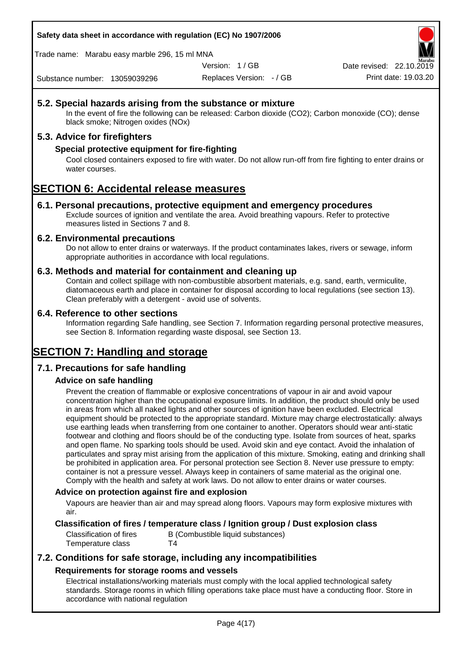**Safety data sheet in accordance with regulation (EC) No 1907/2006**

Trade name: Marabu easy marble 296, 15 ml MNA

Version: 1 / GB

Replaces Version: - / GB Print date: 19.03.20 Date revised: 22.10.2

Substance number: 13059039296

#### **5.2. Special hazards arising from the substance or mixture**

In the event of fire the following can be released: Carbon dioxide (CO2); Carbon monoxide (CO); dense black smoke; Nitrogen oxides (NOx)

#### **5.3. Advice for firefighters**

#### **Special protective equipment for fire-fighting**

Cool closed containers exposed to fire with water. Do not allow run-off from fire fighting to enter drains or water courses.

# **SECTION 6: Accidental release measures**

#### **6.1. Personal precautions, protective equipment and emergency procedures**

Exclude sources of ignition and ventilate the area. Avoid breathing vapours. Refer to protective measures listed in Sections 7 and 8.

#### **6.2. Environmental precautions**

Do not allow to enter drains or waterways. If the product contaminates lakes, rivers or sewage, inform appropriate authorities in accordance with local regulations.

#### **6.3. Methods and material for containment and cleaning up**

Contain and collect spillage with non-combustible absorbent materials, e.g. sand, earth, vermiculite, diatomaceous earth and place in container for disposal according to local regulations (see section 13). Clean preferably with a detergent - avoid use of solvents.

#### **6.4. Reference to other sections**

Information regarding Safe handling, see Section 7. Information regarding personal protective measures, see Section 8. Information regarding waste disposal, see Section 13.

# **SECTION 7: Handling and storage**

#### **7.1. Precautions for safe handling**

#### **Advice on safe handling**

Prevent the creation of flammable or explosive concentrations of vapour in air and avoid vapour concentration higher than the occupational exposure limits. In addition, the product should only be used in areas from which all naked lights and other sources of ignition have been excluded. Electrical equipment should be protected to the appropriate standard. Mixture may charge electrostatically: always use earthing leads when transferring from one container to another. Operators should wear anti-static footwear and clothing and floors should be of the conducting type. Isolate from sources of heat, sparks and open flame. No sparking tools should be used. Avoid skin and eye contact. Avoid the inhalation of particulates and spray mist arising from the application of this mixture. Smoking, eating and drinking shall be prohibited in application area. For personal protection see Section 8. Never use pressure to empty: container is not a pressure vessel. Always keep in containers of same material as the original one. Comply with the health and safety at work laws. Do not allow to enter drains or water courses.

#### **Advice on protection against fire and explosion**

Vapours are heavier than air and may spread along floors. Vapours may form explosive mixtures with air.

#### **Classification of fires / temperature class / Ignition group / Dust explosion class**

Classification of fires B (Combustible liquid substances) Temperature class T4

### **7.2. Conditions for safe storage, including any incompatibilities Requirements for storage rooms and vessels**

Electrical installations/working materials must comply with the local applied technological safety standards. Storage rooms in which filling operations take place must have a conducting floor. Store in accordance with national regulation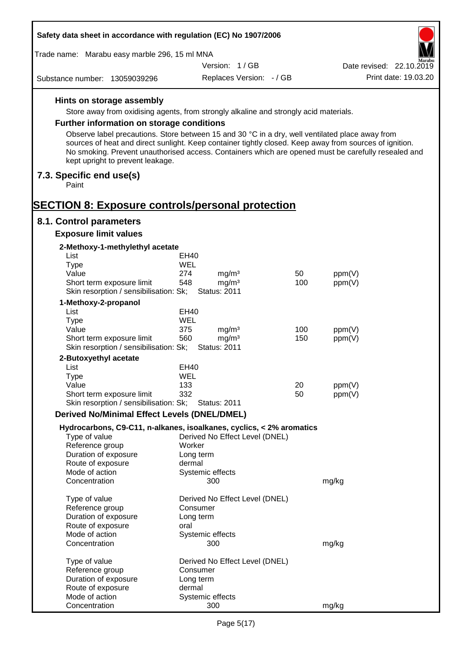| Safety data sheet in accordance with regulation (EC) No 1907/2006                                                                                                                                                                                  |                          |                                        |            |                  |                          |
|----------------------------------------------------------------------------------------------------------------------------------------------------------------------------------------------------------------------------------------------------|--------------------------|----------------------------------------|------------|------------------|--------------------------|
| Trade name: Marabu easy marble 296, 15 ml MNA                                                                                                                                                                                                      |                          |                                        |            |                  |                          |
|                                                                                                                                                                                                                                                    |                          | Version: 1/GB                          |            |                  | Date revised: 22.10.2019 |
| Substance number: 13059039296                                                                                                                                                                                                                      |                          | Replaces Version: - / GB               |            |                  | Print date: 19.03.20     |
| Hints on storage assembly                                                                                                                                                                                                                          |                          |                                        |            |                  |                          |
| Store away from oxidising agents, from strongly alkaline and strongly acid materials.                                                                                                                                                              |                          |                                        |            |                  |                          |
| <b>Further information on storage conditions</b>                                                                                                                                                                                                   |                          |                                        |            |                  |                          |
| Observe label precautions. Store between 15 and 30 °C in a dry, well ventilated place away from                                                                                                                                                    |                          |                                        |            |                  |                          |
| sources of heat and direct sunlight. Keep container tightly closed. Keep away from sources of ignition.<br>No smoking. Prevent unauthorised access. Containers which are opened must be carefully resealed and<br>kept upright to prevent leakage. |                          |                                        |            |                  |                          |
| 7.3. Specific end use(s)<br>Paint                                                                                                                                                                                                                  |                          |                                        |            |                  |                          |
| <b>SECTION 8: Exposure controls/personal protection</b>                                                                                                                                                                                            |                          |                                        |            |                  |                          |
| 8.1. Control parameters                                                                                                                                                                                                                            |                          |                                        |            |                  |                          |
| <b>Exposure limit values</b>                                                                                                                                                                                                                       |                          |                                        |            |                  |                          |
| 2-Methoxy-1-methylethyl acetate<br>List                                                                                                                                                                                                            | EH40                     |                                        |            |                  |                          |
| <b>Type</b>                                                                                                                                                                                                                                        | WEL                      |                                        |            |                  |                          |
| Value                                                                                                                                                                                                                                              | 274                      | mg/m <sup>3</sup>                      | 50         | ppm(V)           |                          |
| Short term exposure limit                                                                                                                                                                                                                          | 548                      | mg/m <sup>3</sup>                      | 100        | ppm(V)           |                          |
| Skin resorption / sensibilisation: Sk;                                                                                                                                                                                                             |                          | <b>Status: 2011</b>                    |            |                  |                          |
| 1-Methoxy-2-propanol                                                                                                                                                                                                                               |                          |                                        |            |                  |                          |
| List                                                                                                                                                                                                                                               | EH40                     |                                        |            |                  |                          |
| <b>Type</b>                                                                                                                                                                                                                                        | WEL                      |                                        |            |                  |                          |
| Value<br>Short term exposure limit                                                                                                                                                                                                                 | 375<br>560               | mg/m <sup>3</sup><br>mg/m <sup>3</sup> | 100<br>150 | ppm(V)<br>ppm(V) |                          |
| Skin resorption / sensibilisation: Sk;                                                                                                                                                                                                             |                          | <b>Status: 2011</b>                    |            |                  |                          |
| 2-Butoxyethyl acetate                                                                                                                                                                                                                              |                          |                                        |            |                  |                          |
| List                                                                                                                                                                                                                                               | EH40                     |                                        |            |                  |                          |
| Type                                                                                                                                                                                                                                               | WEL                      |                                        |            |                  |                          |
| Value                                                                                                                                                                                                                                              | 133                      |                                        | 20         | ppm(V)           |                          |
| Short term exposure limit                                                                                                                                                                                                                          | 332                      |                                        | 50         | ppm(V)           |                          |
| Skin resorption / sensibilisation: Sk;                                                                                                                                                                                                             |                          | <b>Status: 2011</b>                    |            |                  |                          |
| <b>Derived No/Minimal Effect Levels (DNEL/DMEL)</b>                                                                                                                                                                                                |                          |                                        |            |                  |                          |
| Hydrocarbons, C9-C11, n-alkanes, isoalkanes, cyclics, < 2% aromatics<br>Type of value                                                                                                                                                              |                          | Derived No Effect Level (DNEL)         |            |                  |                          |
| Reference group                                                                                                                                                                                                                                    | Worker                   |                                        |            |                  |                          |
| Duration of exposure                                                                                                                                                                                                                               | Long term                |                                        |            |                  |                          |
| Route of exposure                                                                                                                                                                                                                                  | dermal                   |                                        |            |                  |                          |
| Mode of action<br>Concentration                                                                                                                                                                                                                    | Systemic effects         | 300                                    |            | mg/kg            |                          |
| Type of value                                                                                                                                                                                                                                      |                          | Derived No Effect Level (DNEL)         |            |                  |                          |
| Reference group                                                                                                                                                                                                                                    | Consumer                 |                                        |            |                  |                          |
| Duration of exposure                                                                                                                                                                                                                               | Long term                |                                        |            |                  |                          |
| Route of exposure<br>Mode of action                                                                                                                                                                                                                | oral<br>Systemic effects |                                        |            |                  |                          |
| Concentration                                                                                                                                                                                                                                      |                          | 300                                    |            | mg/kg            |                          |
| Type of value                                                                                                                                                                                                                                      |                          | Derived No Effect Level (DNEL)         |            |                  |                          |
| Reference group                                                                                                                                                                                                                                    | Consumer                 |                                        |            |                  |                          |
| Duration of exposure<br>Route of exposure                                                                                                                                                                                                          | Long term<br>dermal      |                                        |            |                  |                          |
| Mode of action                                                                                                                                                                                                                                     | Systemic effects         |                                        |            |                  |                          |
| Concentration                                                                                                                                                                                                                                      |                          | 300                                    |            | mg/kg            |                          |

Г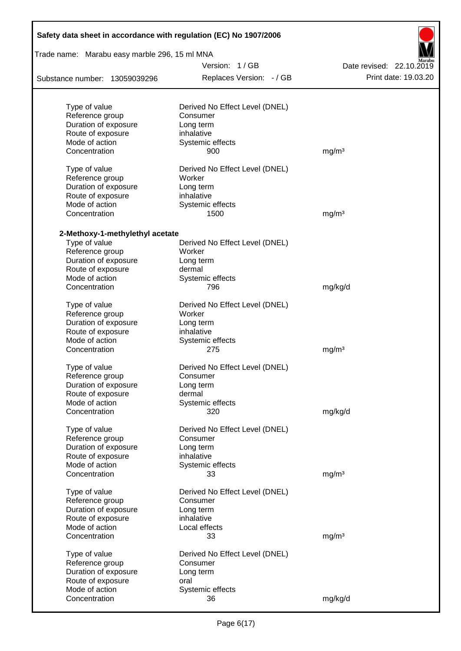| Safety data sheet in accordance with regulation (EC) No 1907/2006 |                                          |                          |  |  |  |
|-------------------------------------------------------------------|------------------------------------------|--------------------------|--|--|--|
| Trade name: Marabu easy marble 296, 15 ml MNA                     |                                          |                          |  |  |  |
|                                                                   | Version: 1/GB                            | Date revised: 22.10.2019 |  |  |  |
| Substance number: 13059039296                                     | Replaces Version: - / GB                 | Print date: 19.03.20     |  |  |  |
| Type of value                                                     | Derived No Effect Level (DNEL)           |                          |  |  |  |
| Reference group                                                   | Consumer                                 |                          |  |  |  |
| Duration of exposure                                              | Long term                                |                          |  |  |  |
| Route of exposure                                                 | inhalative                               |                          |  |  |  |
| Mode of action                                                    | Systemic effects                         |                          |  |  |  |
| Concentration                                                     | 900                                      | mg/m <sup>3</sup>        |  |  |  |
| Type of value                                                     | Derived No Effect Level (DNEL)           |                          |  |  |  |
| Reference group<br>Duration of exposure                           | Worker                                   |                          |  |  |  |
| Route of exposure                                                 | Long term<br>inhalative                  |                          |  |  |  |
| Mode of action                                                    | Systemic effects                         |                          |  |  |  |
| Concentration                                                     | 1500                                     | mg/m <sup>3</sup>        |  |  |  |
|                                                                   |                                          |                          |  |  |  |
| 2-Methoxy-1-methylethyl acetate<br>Type of value                  |                                          |                          |  |  |  |
| Reference group                                                   | Derived No Effect Level (DNEL)<br>Worker |                          |  |  |  |
| Duration of exposure                                              | Long term                                |                          |  |  |  |
| Route of exposure                                                 | dermal                                   |                          |  |  |  |
| Mode of action                                                    | Systemic effects                         |                          |  |  |  |
| Concentration                                                     | 796                                      | mg/kg/d                  |  |  |  |
| Type of value                                                     | Derived No Effect Level (DNEL)           |                          |  |  |  |
| Reference group                                                   | Worker                                   |                          |  |  |  |
| Duration of exposure                                              | Long term                                |                          |  |  |  |
| Route of exposure                                                 | inhalative                               |                          |  |  |  |
| Mode of action                                                    | Systemic effects                         |                          |  |  |  |
| Concentration                                                     | 275                                      | mg/m <sup>3</sup>        |  |  |  |
| Type of value                                                     | Derived No Effect Level (DNEL)           |                          |  |  |  |
| Reference group                                                   | Consumer                                 |                          |  |  |  |
| Duration of exposure                                              | Long term                                |                          |  |  |  |
| Route of exposure                                                 | dermal                                   |                          |  |  |  |
| Mode of action                                                    | Systemic effects                         |                          |  |  |  |
| Concentration                                                     | 320                                      | mg/kg/d                  |  |  |  |
| Type of value                                                     | Derived No Effect Level (DNEL)           |                          |  |  |  |
| Reference group                                                   | Consumer                                 |                          |  |  |  |
| Duration of exposure                                              | Long term                                |                          |  |  |  |
| Route of exposure                                                 | inhalative                               |                          |  |  |  |
| Mode of action                                                    | Systemic effects                         |                          |  |  |  |
| Concentration                                                     | 33                                       | mg/m <sup>3</sup>        |  |  |  |
| Type of value                                                     | Derived No Effect Level (DNEL)           |                          |  |  |  |
| Reference group                                                   | Consumer                                 |                          |  |  |  |
| Duration of exposure                                              | Long term                                |                          |  |  |  |
| Route of exposure                                                 | inhalative                               |                          |  |  |  |
| Mode of action                                                    | Local effects                            |                          |  |  |  |
| Concentration                                                     | 33                                       | mg/m <sup>3</sup>        |  |  |  |
| Type of value                                                     | Derived No Effect Level (DNEL)           |                          |  |  |  |
| Reference group                                                   | Consumer                                 |                          |  |  |  |
| Duration of exposure                                              | Long term                                |                          |  |  |  |
| Route of exposure                                                 | oral                                     |                          |  |  |  |
| Mode of action                                                    | Systemic effects                         |                          |  |  |  |
| Concentration                                                     | 36                                       | mg/kg/d                  |  |  |  |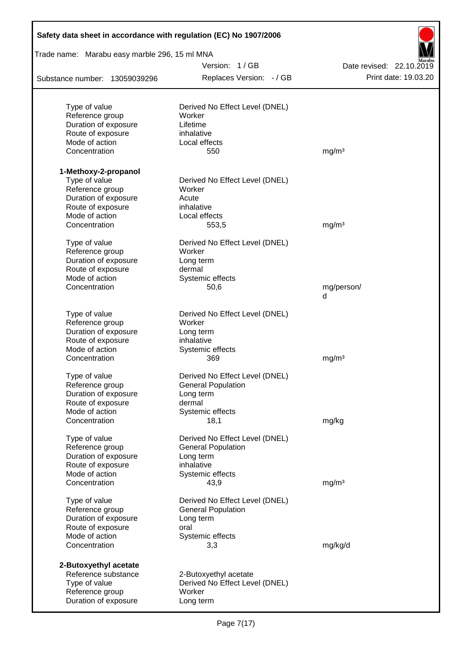| Safety data sheet in accordance with regulation (EC) No 1907/2006 |                                |                          |
|-------------------------------------------------------------------|--------------------------------|--------------------------|
| Trade name: Marabu easy marble 296, 15 ml MNA                     |                                |                          |
|                                                                   | Version: 1/GB                  | Date revised: 22.10.2019 |
| Substance number: 13059039296                                     | Replaces Version: - / GB       | Print date: 19.03.20     |
| Type of value                                                     | Derived No Effect Level (DNEL) |                          |
| Reference group                                                   | Worker                         |                          |
| Duration of exposure                                              | Lifetime                       |                          |
| Route of exposure                                                 | inhalative                     |                          |
| Mode of action                                                    | Local effects                  |                          |
| Concentration                                                     | 550                            | mg/m <sup>3</sup>        |
| 1-Methoxy-2-propanol                                              |                                |                          |
| Type of value                                                     | Derived No Effect Level (DNEL) |                          |
| Reference group                                                   | Worker                         |                          |
| Duration of exposure                                              | Acute                          |                          |
| Route of exposure                                                 | inhalative                     |                          |
| Mode of action                                                    | Local effects                  |                          |
| Concentration                                                     | 553,5                          | mg/m <sup>3</sup>        |
| Type of value                                                     | Derived No Effect Level (DNEL) |                          |
| Reference group                                                   | Worker                         |                          |
| Duration of exposure                                              | Long term                      |                          |
| Route of exposure                                                 | dermal                         |                          |
| Mode of action                                                    | Systemic effects               |                          |
| Concentration                                                     | 50,6                           | mg/person/<br>d          |
| Type of value                                                     | Derived No Effect Level (DNEL) |                          |
| Reference group                                                   | Worker                         |                          |
| Duration of exposure                                              | Long term                      |                          |
| Route of exposure                                                 | inhalative                     |                          |
| Mode of action                                                    | Systemic effects               |                          |
| Concentration                                                     | 369                            | mg/m <sup>3</sup>        |
| Type of value                                                     | Derived No Effect Level (DNEL) |                          |
| Reference group                                                   | <b>General Population</b>      |                          |
| Duration of exposure                                              | Long term                      |                          |
| Route of exposure                                                 | dermal                         |                          |
| Mode of action                                                    | Systemic effects               |                          |
| Concentration                                                     | 18,1                           | mg/kg                    |
| Type of value                                                     | Derived No Effect Level (DNEL) |                          |
| Reference group                                                   | <b>General Population</b>      |                          |
| Duration of exposure                                              | Long term                      |                          |
| Route of exposure                                                 | inhalative                     |                          |
| Mode of action<br>Concentration                                   | Systemic effects<br>43,9       | mg/m <sup>3</sup>        |
| Type of value                                                     | Derived No Effect Level (DNEL) |                          |
| Reference group                                                   | <b>General Population</b>      |                          |
| Duration of exposure                                              | Long term                      |                          |
| Route of exposure                                                 | oral                           |                          |
| Mode of action                                                    | Systemic effects               |                          |
| Concentration                                                     | 3,3                            | mg/kg/d                  |
| 2-Butoxyethyl acetate                                             |                                |                          |
| Reference substance                                               | 2-Butoxyethyl acetate          |                          |
| Type of value                                                     | Derived No Effect Level (DNEL) |                          |
| Reference group                                                   | Worker                         |                          |
| Duration of exposure                                              | Long term                      |                          |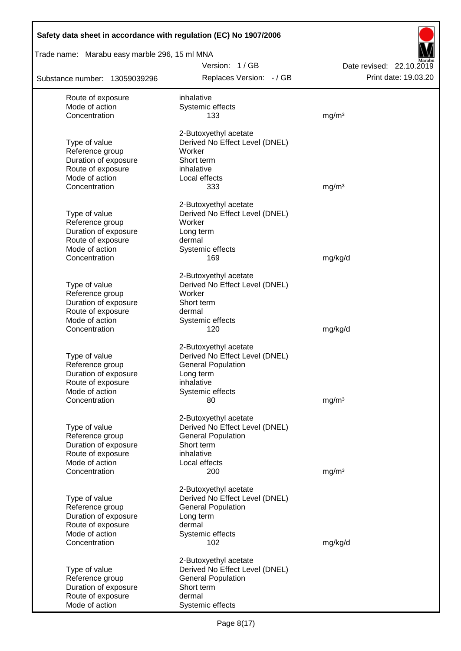| Trade name: Marabu easy marble 296, 15 ml MNA |                                |                          |
|-----------------------------------------------|--------------------------------|--------------------------|
|                                               | Version: 1/GB                  | Date revised: 22.10.2019 |
| Substance number: 13059039296                 | Replaces Version: - / GB       | Print date: 19.03.20     |
| Route of exposure                             | inhalative                     |                          |
| Mode of action                                | Systemic effects               |                          |
| Concentration                                 | 133                            | mg/m <sup>3</sup>        |
|                                               | 2-Butoxyethyl acetate          |                          |
| Type of value                                 | Derived No Effect Level (DNEL) |                          |
| Reference group                               | Worker                         |                          |
| Duration of exposure                          | Short term                     |                          |
| Route of exposure                             | inhalative                     |                          |
| Mode of action<br>Concentration               | Local effects<br>333           | mg/m <sup>3</sup>        |
|                                               |                                |                          |
|                                               | 2-Butoxyethyl acetate          |                          |
| Type of value                                 | Derived No Effect Level (DNEL) |                          |
| Reference group                               | Worker                         |                          |
| Duration of exposure<br>Route of exposure     | Long term                      |                          |
| Mode of action                                | dermal<br>Systemic effects     |                          |
| Concentration                                 | 169                            | mg/kg/d                  |
|                                               |                                |                          |
|                                               | 2-Butoxyethyl acetate          |                          |
| Type of value                                 | Derived No Effect Level (DNEL) |                          |
| Reference group                               | Worker                         |                          |
| Duration of exposure                          | Short term                     |                          |
| Route of exposure                             | dermal                         |                          |
| Mode of action                                | Systemic effects               |                          |
| Concentration                                 | 120                            | mg/kg/d                  |
|                                               | 2-Butoxyethyl acetate          |                          |
| Type of value                                 | Derived No Effect Level (DNEL) |                          |
| Reference group                               | <b>General Population</b>      |                          |
| Duration of exposure                          | Long term                      |                          |
| Route of exposure                             | inhalative                     |                          |
| Mode of action<br>Concentration               | Systemic effects               |                          |
|                                               | 80                             | mg/m <sup>3</sup>        |
|                                               | 2-Butoxyethyl acetate          |                          |
| Type of value                                 | Derived No Effect Level (DNEL) |                          |
| Reference group                               | <b>General Population</b>      |                          |
| Duration of exposure                          | Short term                     |                          |
| Route of exposure                             | inhalative                     |                          |
| Mode of action                                | Local effects                  |                          |
| Concentration                                 | 200                            | mg/m <sup>3</sup>        |
|                                               | 2-Butoxyethyl acetate          |                          |
| Type of value                                 | Derived No Effect Level (DNEL) |                          |
| Reference group                               | <b>General Population</b>      |                          |
| Duration of exposure                          | Long term                      |                          |
| Route of exposure                             | dermal                         |                          |
| Mode of action                                | Systemic effects               |                          |
| Concentration                                 | 102                            | mg/kg/d                  |
|                                               | 2-Butoxyethyl acetate          |                          |
| Type of value                                 | Derived No Effect Level (DNEL) |                          |
| Reference group                               | <b>General Population</b>      |                          |
| Duration of exposure                          | Short term                     |                          |
| Route of exposure<br>Mode of action           | dermal                         |                          |
|                                               | Systemic effects               |                          |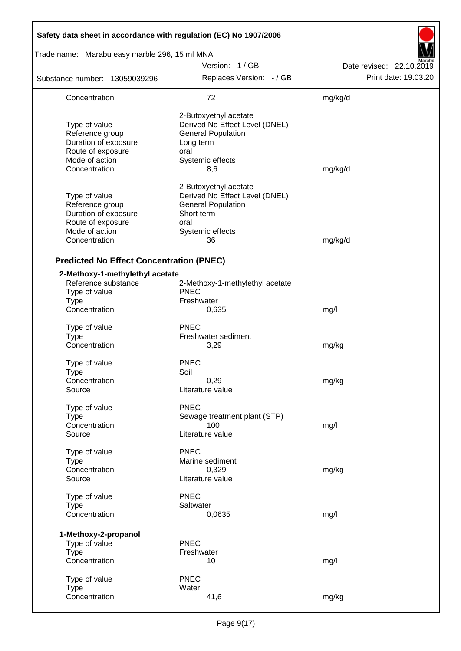| Safety data sheet in accordance with regulation (EC) No 1907/2006                                                |                                                                                                                                      |                          |
|------------------------------------------------------------------------------------------------------------------|--------------------------------------------------------------------------------------------------------------------------------------|--------------------------|
| Trade name: Marabu easy marble 296, 15 ml MNA                                                                    |                                                                                                                                      |                          |
|                                                                                                                  | Version: 1/GB                                                                                                                        | Date revised: 22.10.2019 |
| Substance number: 13059039296                                                                                    | Replaces Version: - / GB                                                                                                             | Print date: 19.03.20     |
| Concentration                                                                                                    | 72                                                                                                                                   | mg/kg/d                  |
| Type of value<br>Reference group<br>Duration of exposure<br>Route of exposure<br>Mode of action<br>Concentration | 2-Butoxyethyl acetate<br>Derived No Effect Level (DNEL)<br><b>General Population</b><br>Long term<br>oral<br>Systemic effects<br>8,6 | mg/kg/d                  |
| Type of value<br>Reference group<br>Duration of exposure<br>Route of exposure<br>Mode of action<br>Concentration | 2-Butoxyethyl acetate<br>Derived No Effect Level (DNEL)<br><b>General Population</b><br>Short term<br>oral<br>Systemic effects<br>36 | mg/kg/d                  |
| <b>Predicted No Effect Concentration (PNEC)</b>                                                                  |                                                                                                                                      |                          |
| 2-Methoxy-1-methylethyl acetate<br>Reference substance<br>Type of value<br><b>Type</b><br>Concentration          | 2-Methoxy-1-methylethyl acetate<br><b>PNEC</b><br>Freshwater<br>0,635                                                                | mg/l                     |
| Type of value<br><b>Type</b><br>Concentration                                                                    | <b>PNEC</b><br>Freshwater sediment<br>3,29                                                                                           | mg/kg                    |
| Type of value<br><b>Type</b><br>Concentration<br>Source                                                          | <b>PNEC</b><br>Soil<br>0,29<br>Literature value                                                                                      | mg/kg                    |
| Type of value<br><b>Type</b><br>Concentration<br>Source                                                          | <b>PNEC</b><br>Sewage treatment plant (STP)<br>100<br>Literature value                                                               | mg/l                     |
| Type of value<br><b>Type</b><br>Concentration<br>Source                                                          | <b>PNEC</b><br>Marine sediment<br>0,329<br>Literature value                                                                          | mg/kg                    |
| Type of value<br><b>Type</b><br>Concentration                                                                    | <b>PNEC</b><br>Saltwater<br>0,0635                                                                                                   | mg/l                     |
| 1-Methoxy-2-propanol<br>Type of value<br><b>Type</b><br>Concentration                                            | <b>PNEC</b><br>Freshwater<br>10                                                                                                      | mg/l                     |
| Type of value<br><b>Type</b><br>Concentration                                                                    | <b>PNEC</b><br>Water<br>41,6                                                                                                         | mg/kg                    |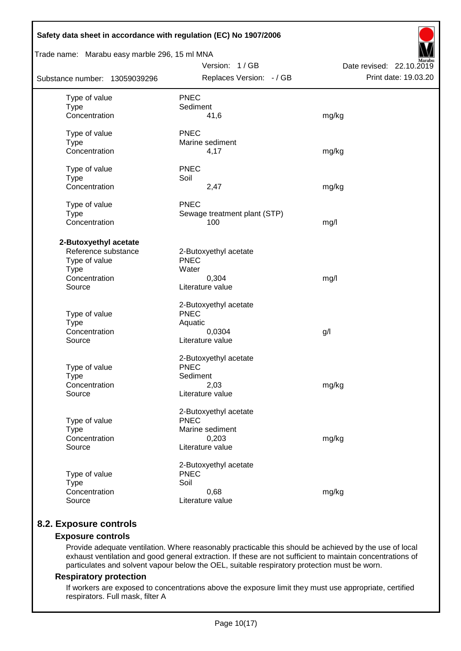| Safety data sheet in accordance with regulation (EC) No 1907/2006                                       |                                                                                      |                                                  |  |  |  |  |
|---------------------------------------------------------------------------------------------------------|--------------------------------------------------------------------------------------|--------------------------------------------------|--|--|--|--|
| Trade name: Marabu easy marble 296, 15 ml MNA                                                           |                                                                                      |                                                  |  |  |  |  |
| Substance number: 13059039296                                                                           | Version: 1/GB<br>Replaces Version: - / GB                                            | Date revised: 22.10.2019<br>Print date: 19.03.20 |  |  |  |  |
| Type of value<br><b>Type</b><br>Concentration                                                           | <b>PNEC</b><br>Sediment<br>41,6                                                      | mg/kg                                            |  |  |  |  |
| Type of value<br><b>Type</b><br>Concentration                                                           | <b>PNEC</b><br>Marine sediment<br>4,17                                               | mg/kg                                            |  |  |  |  |
| Type of value<br><b>Type</b><br>Concentration                                                           | <b>PNEC</b><br>Soil<br>2,47                                                          | mg/kg                                            |  |  |  |  |
| Type of value<br><b>Type</b><br>Concentration                                                           | <b>PNEC</b><br>Sewage treatment plant (STP)<br>100                                   | mg/l                                             |  |  |  |  |
| 2-Butoxyethyl acetate<br>Reference substance<br>Type of value<br><b>Type</b><br>Concentration<br>Source | 2-Butoxyethyl acetate<br><b>PNEC</b><br>Water<br>0,304<br>Literature value           | mg/l                                             |  |  |  |  |
| Type of value<br><b>Type</b><br>Concentration<br>Source                                                 | 2-Butoxyethyl acetate<br><b>PNEC</b><br>Aquatic<br>0,0304<br>Literature value        | g/l                                              |  |  |  |  |
| Type of value<br><b>Type</b><br>Concentration<br>Source                                                 | 2-Butoxyethyl acetate<br><b>PNEC</b><br>Sediment<br>2,03<br>Literature value         | mg/kg                                            |  |  |  |  |
| Type of value<br><b>Type</b><br>Concentration<br>Source                                                 | 2-Butoxyethyl acetate<br><b>PNEC</b><br>Marine sediment<br>0,203<br>Literature value | mg/kg                                            |  |  |  |  |
| Type of value<br><b>Type</b><br>Concentration<br>Source                                                 | 2-Butoxyethyl acetate<br><b>PNEC</b><br>Soil<br>0,68<br>Literature value             | mg/kg                                            |  |  |  |  |

# **8.2. Exposure controls**

### **Exposure controls**

Provide adequate ventilation. Where reasonably practicable this should be achieved by the use of local exhaust ventilation and good general extraction. If these are not sufficient to maintain concentrations of particulates and solvent vapour below the OEL, suitable respiratory protection must be worn.

#### **Respiratory protection**

If workers are exposed to concentrations above the exposure limit they must use appropriate, certified respirators. Full mask, filter A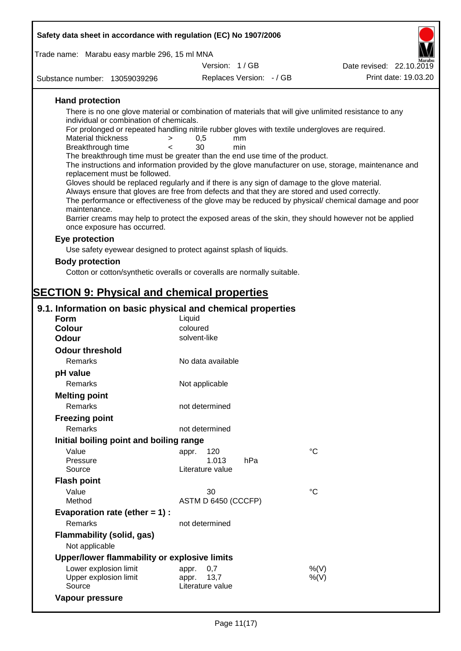| Safety data sheet in accordance with regulation (EC) No 1907/2006                                                                                                                   |                              |             |                          |  |  |  |  |
|-------------------------------------------------------------------------------------------------------------------------------------------------------------------------------------|------------------------------|-------------|--------------------------|--|--|--|--|
| Trade name: Marabu easy marble 296, 15 ml MNA                                                                                                                                       |                              |             |                          |  |  |  |  |
|                                                                                                                                                                                     | Version: 1 / GB              |             | Date revised: 22.10.2019 |  |  |  |  |
| Substance number: 13059039296                                                                                                                                                       | Replaces Version: - / GB     |             | Print date: 19.03.20     |  |  |  |  |
| <b>Hand protection</b>                                                                                                                                                              |                              |             |                          |  |  |  |  |
| There is no one glove material or combination of materials that will give unlimited resistance to any                                                                               |                              |             |                          |  |  |  |  |
| individual or combination of chemicals.<br>For prolonged or repeated handling nitrile rubber gloves with textile undergloves are required.                                          |                              |             |                          |  |  |  |  |
| <b>Material thickness</b><br>$\geq$                                                                                                                                                 | 0,5<br>mm                    |             |                          |  |  |  |  |
| Breakthrough time<br>$\overline{\phantom{a}}$                                                                                                                                       | 30<br>min                    |             |                          |  |  |  |  |
| The breakthrough time must be greater than the end use time of the product.<br>The instructions and information provided by the glove manufacturer on use, storage, maintenance and |                              |             |                          |  |  |  |  |
| replacement must be followed.                                                                                                                                                       |                              |             |                          |  |  |  |  |
| Gloves should be replaced regularly and if there is any sign of damage to the glove material.                                                                                       |                              |             |                          |  |  |  |  |
| Always ensure that gloves are free from defects and that they are stored and used correctly.                                                                                        |                              |             |                          |  |  |  |  |
| The performance or effectiveness of the glove may be reduced by physical/ chemical damage and poor<br>maintenance.                                                                  |                              |             |                          |  |  |  |  |
| Barrier creams may help to protect the exposed areas of the skin, they should however not be applied                                                                                |                              |             |                          |  |  |  |  |
| once exposure has occurred.                                                                                                                                                         |                              |             |                          |  |  |  |  |
| Eye protection                                                                                                                                                                      |                              |             |                          |  |  |  |  |
| Use safety eyewear designed to protect against splash of liquids.                                                                                                                   |                              |             |                          |  |  |  |  |
| <b>Body protection</b>                                                                                                                                                              |                              |             |                          |  |  |  |  |
| Cotton or cotton/synthetic overalls or coveralls are normally suitable.                                                                                                             |                              |             |                          |  |  |  |  |
|                                                                                                                                                                                     |                              |             |                          |  |  |  |  |
| <b>SECTION 9: Physical and chemical properties</b>                                                                                                                                  |                              |             |                          |  |  |  |  |
| 9.1. Information on basic physical and chemical properties                                                                                                                          |                              |             |                          |  |  |  |  |
| <b>Form</b>                                                                                                                                                                         | Liquid                       |             |                          |  |  |  |  |
| <b>Colour</b>                                                                                                                                                                       | coloured                     |             |                          |  |  |  |  |
| <b>Odour</b>                                                                                                                                                                        | solvent-like                 |             |                          |  |  |  |  |
| <b>Odour threshold</b>                                                                                                                                                              |                              |             |                          |  |  |  |  |
| Remarks                                                                                                                                                                             | No data available            |             |                          |  |  |  |  |
| pH value                                                                                                                                                                            |                              |             |                          |  |  |  |  |
| Remarks                                                                                                                                                                             | Not applicable               |             |                          |  |  |  |  |
| <b>Melting point</b>                                                                                                                                                                |                              |             |                          |  |  |  |  |
| Remarks                                                                                                                                                                             | not determined               |             |                          |  |  |  |  |
| <b>Freezing point</b>                                                                                                                                                               |                              |             |                          |  |  |  |  |
| Remarks                                                                                                                                                                             | not determined               |             |                          |  |  |  |  |
| Initial boiling point and boiling range                                                                                                                                             |                              |             |                          |  |  |  |  |
| Value<br>Pressure                                                                                                                                                                   | 120<br>appr.<br>1.013<br>hPa | $^{\circ}C$ |                          |  |  |  |  |
| Source                                                                                                                                                                              | Literature value             |             |                          |  |  |  |  |
| <b>Flash point</b>                                                                                                                                                                  |                              |             |                          |  |  |  |  |
| Value                                                                                                                                                                               | 30                           | $^{\circ}C$ |                          |  |  |  |  |
| Method                                                                                                                                                                              | ASTM D 6450 (CCCFP)          |             |                          |  |  |  |  |
| Evaporation rate (ether $= 1$ ) :                                                                                                                                                   |                              |             |                          |  |  |  |  |
| Remarks                                                                                                                                                                             | not determined               |             |                          |  |  |  |  |
| <b>Flammability (solid, gas)</b>                                                                                                                                                    |                              |             |                          |  |  |  |  |
| Not applicable                                                                                                                                                                      |                              |             |                          |  |  |  |  |
| Upper/lower flammability or explosive limits                                                                                                                                        |                              |             |                          |  |  |  |  |
| المتممتان والمتحاجب والمردود والمردد                                                                                                                                                |                              | 0/111       |                          |  |  |  |  |

| <b>Opper/IOWER Hammability OF EXPIOSIVE INITIES</b> |                  |      |
|-----------------------------------------------------|------------------|------|
| Lower explosion limit                               | appr. 0.7        | %(V) |
| Upper explosion limit                               | appr. 13.7       | %(V) |
| Source                                              | Literature value |      |
| Vapour pressure                                     |                  |      |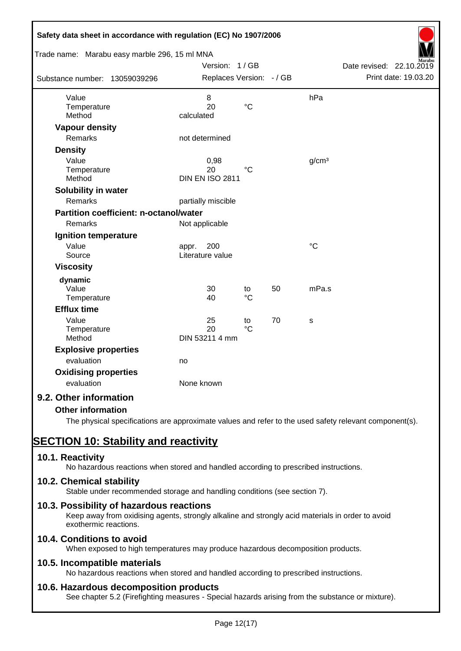| Safety data sheet in accordance with regulation (EC) No 1907/2006<br>Trade name: Marabu easy marble 296, 15 ml MNA |                          |                 |    |                   |                          |
|--------------------------------------------------------------------------------------------------------------------|--------------------------|-----------------|----|-------------------|--------------------------|
|                                                                                                                    | Version: 1/GB            |                 |    |                   | Date revised: 22.10.2019 |
|                                                                                                                    | Replaces Version: - / GB |                 |    |                   | Print date: 19.03.20     |
| Substance number: 13059039296                                                                                      |                          |                 |    |                   |                          |
| Value                                                                                                              | 8                        |                 |    | hPa               |                          |
| Temperature                                                                                                        | 20                       | $\rm ^{\circ}C$ |    |                   |                          |
| Method                                                                                                             | calculated               |                 |    |                   |                          |
| <b>Vapour density</b>                                                                                              |                          |                 |    |                   |                          |
| Remarks                                                                                                            | not determined           |                 |    |                   |                          |
| <b>Density</b>                                                                                                     |                          |                 |    |                   |                          |
| Value                                                                                                              | 0,98                     |                 |    | g/cm <sup>3</sup> |                          |
| Temperature                                                                                                        | 20                       | $\rm ^{\circ}C$ |    |                   |                          |
| Method                                                                                                             | <b>DIN EN ISO 2811</b>   |                 |    |                   |                          |
| Solubility in water                                                                                                |                          |                 |    |                   |                          |
| Remarks                                                                                                            | partially miscible       |                 |    |                   |                          |
| <b>Partition coefficient: n-octanol/water</b>                                                                      |                          |                 |    |                   |                          |
| Remarks                                                                                                            | Not applicable           |                 |    |                   |                          |
| Ignition temperature                                                                                               |                          |                 |    |                   |                          |
| Value                                                                                                              | 200<br>appr.             |                 |    | $\rm ^{\circ}C$   |                          |
| Source                                                                                                             | Literature value         |                 |    |                   |                          |
| <b>Viscosity</b>                                                                                                   |                          |                 |    |                   |                          |
| dynamic                                                                                                            |                          |                 |    |                   |                          |
| Value                                                                                                              | 30                       | to              | 50 | mPa.s             |                          |
| Temperature                                                                                                        | 40                       | $\rm ^{\circ}C$ |    |                   |                          |
| <b>Efflux time</b>                                                                                                 |                          |                 |    |                   |                          |
| Value                                                                                                              | 25                       | to              | 70 | s                 |                          |
| Temperature                                                                                                        | 20                       | $\rm ^{\circ}C$ |    |                   |                          |
| Method                                                                                                             | DIN 53211 4 mm           |                 |    |                   |                          |
| <b>Explosive properties</b>                                                                                        |                          |                 |    |                   |                          |
| evaluation                                                                                                         | no                       |                 |    |                   |                          |
| <b>Oxidising properties</b>                                                                                        |                          |                 |    |                   |                          |
| evaluation                                                                                                         | None known               |                 |    |                   |                          |
| 9.2. Other information                                                                                             |                          |                 |    |                   |                          |
| <b>Other information</b>                                                                                           |                          |                 |    |                   |                          |

The physical specifications are approximate values and refer to the used safety relevant component(s).

# **SECTION 10: Stability and reactivity**

# **10.1. Reactivity**

No hazardous reactions when stored and handled according to prescribed instructions.

# **10.2. Chemical stability**

Stable under recommended storage and handling conditions (see section 7).

# **10.3. Possibility of hazardous reactions**

Keep away from oxidising agents, strongly alkaline and strongly acid materials in order to avoid exothermic reactions.

# **10.4. Conditions to avoid**

When exposed to high temperatures may produce hazardous decomposition products.

# **10.5. Incompatible materials**

No hazardous reactions when stored and handled according to prescribed instructions.

# **10.6. Hazardous decomposition products**

See chapter 5.2 (Firefighting measures - Special hazards arising from the substance or mixture).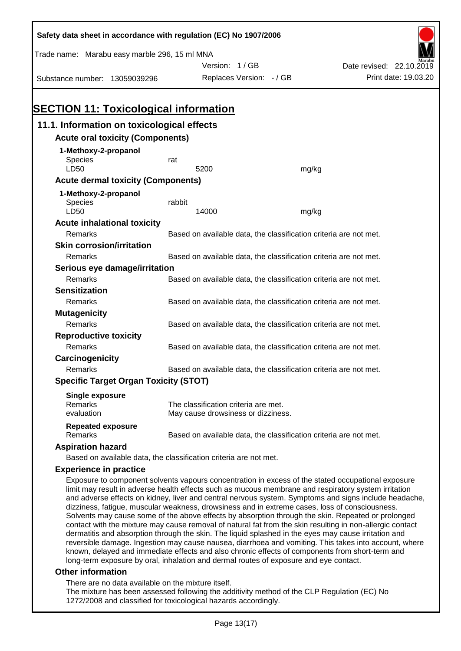| Safety data sheet in accordance with regulation (EC) No 1907/2006 |                                                                   |                                                                   |                                                                   |                                                                                                                                                                                                               |  |  |
|-------------------------------------------------------------------|-------------------------------------------------------------------|-------------------------------------------------------------------|-------------------------------------------------------------------|---------------------------------------------------------------------------------------------------------------------------------------------------------------------------------------------------------------|--|--|
| Trade name: Marabu easy marble 296, 15 ml MNA                     |                                                                   |                                                                   |                                                                   |                                                                                                                                                                                                               |  |  |
|                                                                   |                                                                   | Version: 1/GB                                                     |                                                                   | Date revised: 22.10.2019                                                                                                                                                                                      |  |  |
| Substance number: 13059039296                                     |                                                                   | Replaces Version: - / GB                                          |                                                                   | Print date: 19.03.20                                                                                                                                                                                          |  |  |
|                                                                   |                                                                   |                                                                   |                                                                   |                                                                                                                                                                                                               |  |  |
|                                                                   |                                                                   |                                                                   |                                                                   |                                                                                                                                                                                                               |  |  |
| <b>SECTION 11: Toxicological information</b>                      |                                                                   |                                                                   |                                                                   |                                                                                                                                                                                                               |  |  |
| 11.1. Information on toxicological effects                        |                                                                   |                                                                   |                                                                   |                                                                                                                                                                                                               |  |  |
| <b>Acute oral toxicity (Components)</b>                           |                                                                   |                                                                   |                                                                   |                                                                                                                                                                                                               |  |  |
| 1-Methoxy-2-propanol                                              |                                                                   |                                                                   |                                                                   |                                                                                                                                                                                                               |  |  |
| <b>Species</b>                                                    | rat                                                               |                                                                   |                                                                   |                                                                                                                                                                                                               |  |  |
| LD50                                                              |                                                                   | 5200                                                              | mg/kg                                                             |                                                                                                                                                                                                               |  |  |
| <b>Acute dermal toxicity (Components)</b>                         |                                                                   |                                                                   |                                                                   |                                                                                                                                                                                                               |  |  |
| 1-Methoxy-2-propanol                                              |                                                                   |                                                                   |                                                                   |                                                                                                                                                                                                               |  |  |
| <b>Species</b><br>LD50                                            | rabbit                                                            | 14000                                                             | mg/kg                                                             |                                                                                                                                                                                                               |  |  |
| <b>Acute inhalational toxicity</b>                                |                                                                   |                                                                   |                                                                   |                                                                                                                                                                                                               |  |  |
| Remarks                                                           |                                                                   |                                                                   | Based on available data, the classification criteria are not met. |                                                                                                                                                                                                               |  |  |
| <b>Skin corrosion/irritation</b>                                  |                                                                   |                                                                   |                                                                   |                                                                                                                                                                                                               |  |  |
| Remarks                                                           |                                                                   |                                                                   | Based on available data, the classification criteria are not met. |                                                                                                                                                                                                               |  |  |
| Serious eye damage/irritation                                     |                                                                   |                                                                   |                                                                   |                                                                                                                                                                                                               |  |  |
| Remarks                                                           |                                                                   | Based on available data, the classification criteria are not met. |                                                                   |                                                                                                                                                                                                               |  |  |
| <b>Sensitization</b>                                              |                                                                   |                                                                   |                                                                   |                                                                                                                                                                                                               |  |  |
| Remarks                                                           | Based on available data, the classification criteria are not met. |                                                                   |                                                                   |                                                                                                                                                                                                               |  |  |
| <b>Mutagenicity</b>                                               |                                                                   |                                                                   |                                                                   |                                                                                                                                                                                                               |  |  |
| Remarks                                                           | Based on available data, the classification criteria are not met. |                                                                   |                                                                   |                                                                                                                                                                                                               |  |  |
| <b>Reproductive toxicity</b>                                      |                                                                   |                                                                   |                                                                   |                                                                                                                                                                                                               |  |  |
| Remarks                                                           |                                                                   |                                                                   | Based on available data, the classification criteria are not met. |                                                                                                                                                                                                               |  |  |
| Carcinogenicity                                                   |                                                                   |                                                                   |                                                                   |                                                                                                                                                                                                               |  |  |
| Remarks                                                           |                                                                   |                                                                   | Based on available data, the classification criteria are not met. |                                                                                                                                                                                                               |  |  |
| <b>Specific Target Organ Toxicity (STOT)</b>                      |                                                                   |                                                                   |                                                                   |                                                                                                                                                                                                               |  |  |
| <b>Single exposure</b>                                            |                                                                   |                                                                   |                                                                   |                                                                                                                                                                                                               |  |  |
| Remarks                                                           |                                                                   | The classification criteria are met.                              |                                                                   |                                                                                                                                                                                                               |  |  |
| evaluation                                                        |                                                                   | May cause drowsiness or dizziness.                                |                                                                   |                                                                                                                                                                                                               |  |  |
| <b>Repeated exposure</b><br><b>Remarks</b>                        |                                                                   |                                                                   | Based on available data, the classification criteria are not met. |                                                                                                                                                                                                               |  |  |
| <b>Aspiration hazard</b>                                          |                                                                   |                                                                   |                                                                   |                                                                                                                                                                                                               |  |  |
| Based on available data, the classification criteria are not met. |                                                                   |                                                                   |                                                                   |                                                                                                                                                                                                               |  |  |
| <b>Experience in practice</b>                                     |                                                                   |                                                                   |                                                                   |                                                                                                                                                                                                               |  |  |
|                                                                   |                                                                   |                                                                   |                                                                   | Exposure to component solvents vapours concentration in excess of the stated occupational exposure                                                                                                            |  |  |
|                                                                   |                                                                   |                                                                   |                                                                   | limit may result in adverse health effects such as mucous membrane and respiratory system irritation<br>and adverse effects on kidney, liver and central nervous system. Symptoms and signs include headache, |  |  |

and adverse effects on kidney, liver and central nervous system. Symptoms and signs include headache, dizziness, fatigue, muscular weakness, drowsiness and in extreme cases, loss of consciousness. Solvents may cause some of the above effects by absorption through the skin. Repeated or prolonged contact with the mixture may cause removal of natural fat from the skin resulting in non-allergic contact dermatitis and absorption through the skin. The liquid splashed in the eyes may cause irritation and reversible damage. Ingestion may cause nausea, diarrhoea and vomiting. This takes into account, where known, delayed and immediate effects and also chronic effects of components from short-term and long-term exposure by oral, inhalation and dermal routes of exposure and eye contact.

#### **Other information**

There are no data available on the mixture itself.

The mixture has been assessed following the additivity method of the CLP Regulation (EC) No 1272/2008 and classified for toxicological hazards accordingly.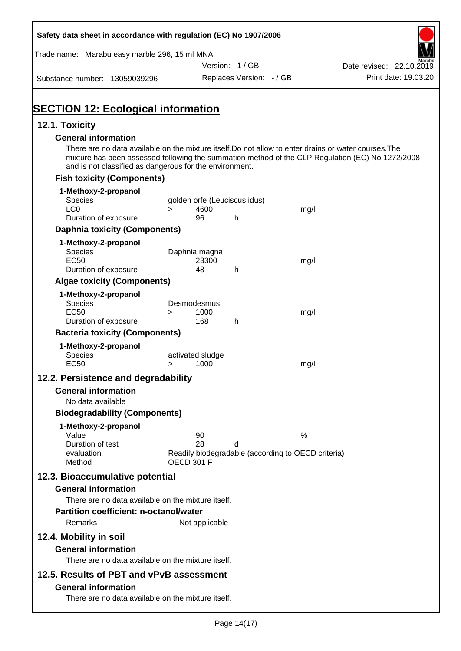| Safety data sheet in accordance with regulation (EC) No 1907/2006                                                                                                                                                                                                                                  |                   |                          |                              |                                                    |                          |                      |
|----------------------------------------------------------------------------------------------------------------------------------------------------------------------------------------------------------------------------------------------------------------------------------------------------|-------------------|--------------------------|------------------------------|----------------------------------------------------|--------------------------|----------------------|
| Trade name: Marabu easy marble 296, 15 ml MNA                                                                                                                                                                                                                                                      |                   |                          |                              |                                                    |                          |                      |
|                                                                                                                                                                                                                                                                                                    |                   |                          | Version: 1/GB                |                                                    | Date revised: 22.10.2019 |                      |
| Substance number: 13059039296                                                                                                                                                                                                                                                                      |                   |                          | Replaces Version: - / GB     |                                                    |                          | Print date: 19.03.20 |
| <b>SECTION 12: Ecological information</b>                                                                                                                                                                                                                                                          |                   |                          |                              |                                                    |                          |                      |
| 12.1. Toxicity                                                                                                                                                                                                                                                                                     |                   |                          |                              |                                                    |                          |                      |
| <b>General information</b><br>There are no data available on the mixture itself. Do not allow to enter drains or water courses. The<br>mixture has been assessed following the summation method of the CLP Regulation (EC) No 1272/2008<br>and is not classified as dangerous for the environment. |                   |                          |                              |                                                    |                          |                      |
| <b>Fish toxicity (Components)</b>                                                                                                                                                                                                                                                                  |                   |                          |                              |                                                    |                          |                      |
| 1-Methoxy-2-propanol                                                                                                                                                                                                                                                                               |                   |                          |                              |                                                    |                          |                      |
| <b>Species</b><br>LC <sub>0</sub>                                                                                                                                                                                                                                                                  |                   | 4600                     | golden orfe (Leuciscus idus) |                                                    |                          |                      |
| Duration of exposure                                                                                                                                                                                                                                                                               | $\geq$            | 96                       | h                            | mg/l                                               |                          |                      |
| <b>Daphnia toxicity (Components)</b>                                                                                                                                                                                                                                                               |                   |                          |                              |                                                    |                          |                      |
| 1-Methoxy-2-propanol                                                                                                                                                                                                                                                                               |                   |                          |                              |                                                    |                          |                      |
| Species                                                                                                                                                                                                                                                                                            |                   | Daphnia magna            |                              |                                                    |                          |                      |
| <b>EC50</b>                                                                                                                                                                                                                                                                                        |                   | 23300                    |                              | mg/l                                               |                          |                      |
| Duration of exposure                                                                                                                                                                                                                                                                               |                   | 48                       | h                            |                                                    |                          |                      |
| <b>Algae toxicity (Components)</b>                                                                                                                                                                                                                                                                 |                   |                          |                              |                                                    |                          |                      |
| 1-Methoxy-2-propanol                                                                                                                                                                                                                                                                               |                   | Desmodesmus              |                              |                                                    |                          |                      |
| <b>Species</b><br><b>EC50</b>                                                                                                                                                                                                                                                                      | $\geq$            | 1000                     |                              | mg/l                                               |                          |                      |
| Duration of exposure                                                                                                                                                                                                                                                                               |                   | 168                      | h                            |                                                    |                          |                      |
| <b>Bacteria toxicity (Components)</b>                                                                                                                                                                                                                                                              |                   |                          |                              |                                                    |                          |                      |
| 1-Methoxy-2-propanol                                                                                                                                                                                                                                                                               |                   |                          |                              |                                                    |                          |                      |
| Species<br><b>EC50</b>                                                                                                                                                                                                                                                                             | $\geq$            | activated sludge<br>1000 |                              | mg/l                                               |                          |                      |
| 12.2. Persistence and degradability                                                                                                                                                                                                                                                                |                   |                          |                              |                                                    |                          |                      |
| <b>General information</b>                                                                                                                                                                                                                                                                         |                   |                          |                              |                                                    |                          |                      |
| No data available                                                                                                                                                                                                                                                                                  |                   |                          |                              |                                                    |                          |                      |
| <b>Biodegradability (Components)</b>                                                                                                                                                                                                                                                               |                   |                          |                              |                                                    |                          |                      |
| 1-Methoxy-2-propanol                                                                                                                                                                                                                                                                               |                   |                          |                              |                                                    |                          |                      |
| Value                                                                                                                                                                                                                                                                                              |                   | 90                       |                              | $\%$                                               |                          |                      |
| Duration of test<br>evaluation                                                                                                                                                                                                                                                                     |                   | 28                       | d                            | Readily biodegradable (according to OECD criteria) |                          |                      |
| Method                                                                                                                                                                                                                                                                                             | <b>OECD 301 F</b> |                          |                              |                                                    |                          |                      |
| 12.3. Bioaccumulative potential                                                                                                                                                                                                                                                                    |                   |                          |                              |                                                    |                          |                      |
| <b>General information</b>                                                                                                                                                                                                                                                                         |                   |                          |                              |                                                    |                          |                      |
| There are no data available on the mixture itself.                                                                                                                                                                                                                                                 |                   |                          |                              |                                                    |                          |                      |
| <b>Partition coefficient: n-octanol/water</b>                                                                                                                                                                                                                                                      |                   |                          |                              |                                                    |                          |                      |
| Remarks                                                                                                                                                                                                                                                                                            |                   | Not applicable           |                              |                                                    |                          |                      |
| 12.4. Mobility in soil                                                                                                                                                                                                                                                                             |                   |                          |                              |                                                    |                          |                      |
| <b>General information</b>                                                                                                                                                                                                                                                                         |                   |                          |                              |                                                    |                          |                      |
| There are no data available on the mixture itself.                                                                                                                                                                                                                                                 |                   |                          |                              |                                                    |                          |                      |
| 12.5. Results of PBT and vPvB assessment                                                                                                                                                                                                                                                           |                   |                          |                              |                                                    |                          |                      |
| <b>General information</b>                                                                                                                                                                                                                                                                         |                   |                          |                              |                                                    |                          |                      |
| There are no data available on the mixture itself.                                                                                                                                                                                                                                                 |                   |                          |                              |                                                    |                          |                      |
|                                                                                                                                                                                                                                                                                                    |                   |                          |                              |                                                    |                          |                      |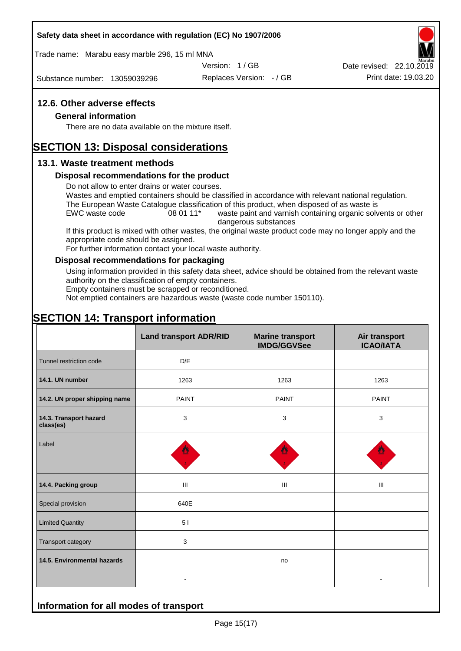#### **Safety data sheet in accordance with regulation (EC) No 1907/2006**

Trade name: Marabu easy marble 296, 15 ml MNA

Version: 1 / GB

Substance number: 13059039296

Replaces Version: - / GB Print date: 19.03.20 Date revised: 22.10.2019

#### **12.6. Other adverse effects**

#### **General information**

There are no data available on the mixture itself.

# **SECTION 13: Disposal considerations**

#### **13.1. Waste treatment methods**

#### **Disposal recommendations for the product**

Do not allow to enter drains or water courses.

Wastes and emptied containers should be classified in accordance with relevant national regulation. The European Waste Catalogue classification of this product, when disposed of as waste is

EWC waste code 08 01 11<sup>\*</sup> waste paint and varnish containing organic solvents or other dangerous substances

If this product is mixed with other wastes, the original waste product code may no longer apply and the appropriate code should be assigned.

For further information contact your local waste authority.

#### **Disposal recommendations for packaging**

Using information provided in this safety data sheet, advice should be obtained from the relevant waste authority on the classification of empty containers.

Empty containers must be scrapped or reconditioned.

Not emptied containers are hazardous waste (waste code number 150110).

# **SECTION 14: Transport information**

**Information for all modes of transport**

|                                     | <b>Land transport ADR/RID</b> | <b>Marine transport</b><br><b>IMDG/GGVSee</b> | Air transport<br><b>ICAO/IATA</b> |
|-------------------------------------|-------------------------------|-----------------------------------------------|-----------------------------------|
| Tunnel restriction code             | D/E                           |                                               |                                   |
| 14.1. UN number                     | 1263                          | 1263                                          | 1263                              |
| 14.2. UN proper shipping name       | <b>PAINT</b>                  | <b>PAINT</b>                                  | <b>PAINT</b>                      |
| 14.3. Transport hazard<br>class(es) | 3                             | 3                                             | 3                                 |
| Label                               |                               |                                               |                                   |
| 14.4. Packing group                 | Ш                             | Ш                                             | Ш                                 |
| Special provision                   | 640E                          |                                               |                                   |
| <b>Limited Quantity</b>             | 5 <sub>1</sub>                |                                               |                                   |
| Transport category                  | 3                             |                                               |                                   |
| 14.5. Environmental hazards         |                               | no                                            |                                   |
|                                     |                               |                                               |                                   |

Page 15(17)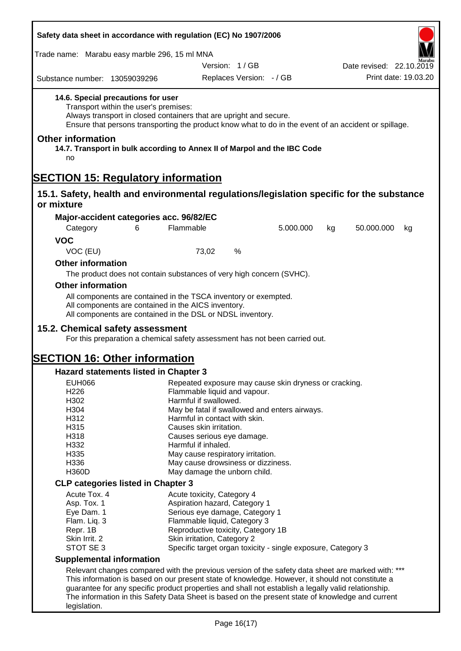| Safety data sheet in accordance with regulation (EC) No 1907/2006                                                                                                                                     |                                                     |                                                                                                                               |           |                                                                                                       |
|-------------------------------------------------------------------------------------------------------------------------------------------------------------------------------------------------------|-----------------------------------------------------|-------------------------------------------------------------------------------------------------------------------------------|-----------|-------------------------------------------------------------------------------------------------------|
| Trade name: Marabu easy marble 296, 15 ml MNA                                                                                                                                                         |                                                     |                                                                                                                               |           |                                                                                                       |
|                                                                                                                                                                                                       |                                                     | Version: 1/GB                                                                                                                 |           | Date revised: 22.10.2019                                                                              |
| Substance number: 13059039296                                                                                                                                                                         |                                                     | Replaces Version: - / GB                                                                                                      |           | Print date: 19.03.20                                                                                  |
| 14.6. Special precautions for user                                                                                                                                                                    | Transport within the user's premises:               | Always transport in closed containers that are upright and secure.                                                            |           | Ensure that persons transporting the product know what to do in the event of an accident or spillage. |
| <b>Other information</b><br>no                                                                                                                                                                        |                                                     | 14.7. Transport in bulk according to Annex II of Marpol and the IBC Code                                                      |           |                                                                                                       |
| <b>SECTION 15: Regulatory information</b>                                                                                                                                                             |                                                     |                                                                                                                               |           |                                                                                                       |
|                                                                                                                                                                                                       |                                                     |                                                                                                                               |           | 15.1. Safety, health and environmental regulations/legislation specific for the substance             |
| or mixture                                                                                                                                                                                            |                                                     |                                                                                                                               |           |                                                                                                       |
| Major-accident categories acc. 96/82/EC                                                                                                                                                               |                                                     |                                                                                                                               |           |                                                                                                       |
| Category                                                                                                                                                                                              | 6                                                   | Flammable                                                                                                                     | 5.000.000 | 50.000.000<br>kg<br>kg                                                                                |
| <b>VOC</b>                                                                                                                                                                                            |                                                     |                                                                                                                               |           |                                                                                                       |
| VOC (EU)                                                                                                                                                                                              |                                                     | %<br>73,02                                                                                                                    |           |                                                                                                       |
| <b>Other information</b>                                                                                                                                                                              |                                                     |                                                                                                                               |           |                                                                                                       |
|                                                                                                                                                                                                       |                                                     | The product does not contain substances of very high concern (SVHC).                                                          |           |                                                                                                       |
| <b>Other information</b>                                                                                                                                                                              |                                                     |                                                                                                                               |           |                                                                                                       |
|                                                                                                                                                                                                       | All components are contained in the AICS inventory. | All components are contained in the TSCA inventory or exempted.<br>All components are contained in the DSL or NDSL inventory. |           |                                                                                                       |
| 15.2. Chemical safety assessment                                                                                                                                                                      |                                                     |                                                                                                                               |           |                                                                                                       |
|                                                                                                                                                                                                       |                                                     | For this preparation a chemical safety assessment has not been carried out.                                                   |           |                                                                                                       |
| <b>SECTION 16: Other information</b>                                                                                                                                                                  |                                                     |                                                                                                                               |           |                                                                                                       |
| <b>Hazard statements listed in Chapter 3</b>                                                                                                                                                          |                                                     |                                                                                                                               |           |                                                                                                       |
| <b>EUH066</b>                                                                                                                                                                                         |                                                     | Repeated exposure may cause skin dryness or cracking.                                                                         |           |                                                                                                       |
| H226                                                                                                                                                                                                  |                                                     | Flammable liquid and vapour.                                                                                                  |           |                                                                                                       |
| H302                                                                                                                                                                                                  |                                                     | Harmful if swallowed.                                                                                                         |           |                                                                                                       |
| H304<br>H312                                                                                                                                                                                          |                                                     | May be fatal if swallowed and enters airways.<br>Harmful in contact with skin.                                                |           |                                                                                                       |
| H315                                                                                                                                                                                                  |                                                     | Causes skin irritation.                                                                                                       |           |                                                                                                       |
| H318                                                                                                                                                                                                  |                                                     | Causes serious eye damage.                                                                                                    |           |                                                                                                       |
| H332                                                                                                                                                                                                  |                                                     | Harmful if inhaled.                                                                                                           |           |                                                                                                       |
| H335                                                                                                                                                                                                  |                                                     | May cause respiratory irritation.                                                                                             |           |                                                                                                       |
| H336                                                                                                                                                                                                  |                                                     | May cause drowsiness or dizziness.                                                                                            |           |                                                                                                       |
| H360D                                                                                                                                                                                                 |                                                     | May damage the unborn child.                                                                                                  |           |                                                                                                       |
| <b>CLP categories listed in Chapter 3</b>                                                                                                                                                             |                                                     |                                                                                                                               |           |                                                                                                       |
| Acute Tox. 4                                                                                                                                                                                          |                                                     | Acute toxicity, Category 4                                                                                                    |           |                                                                                                       |
| Asp. Tox. 1                                                                                                                                                                                           |                                                     | Aspiration hazard, Category 1                                                                                                 |           |                                                                                                       |
| Eye Dam. 1                                                                                                                                                                                            |                                                     | Serious eye damage, Category 1                                                                                                |           |                                                                                                       |
| Flam. Liq. 3<br>Repr. 1B                                                                                                                                                                              |                                                     | Flammable liquid, Category 3<br>Reproductive toxicity, Category 1B                                                            |           |                                                                                                       |
| Skin Irrit. 2                                                                                                                                                                                         |                                                     | Skin irritation, Category 2                                                                                                   |           |                                                                                                       |
| STOT SE 3                                                                                                                                                                                             |                                                     | Specific target organ toxicity - single exposure, Category 3                                                                  |           |                                                                                                       |
| <b>Supplemental information</b>                                                                                                                                                                       |                                                     |                                                                                                                               |           |                                                                                                       |
|                                                                                                                                                                                                       |                                                     |                                                                                                                               |           |                                                                                                       |
| Relevant changes compared with the previous version of the safety data sheet are marked with: ***<br>This information is based on our present state of knowledge. However, it should not constitute a |                                                     |                                                                                                                               |           |                                                                                                       |
| guarantee for any specific product properties and shall not establish a legally valid relationship.                                                                                                   |                                                     |                                                                                                                               |           |                                                                                                       |
| The information in this Safety Data Sheet is based on the present state of knowledge and current                                                                                                      |                                                     |                                                                                                                               |           |                                                                                                       |
| legislation.                                                                                                                                                                                          |                                                     |                                                                                                                               |           |                                                                                                       |